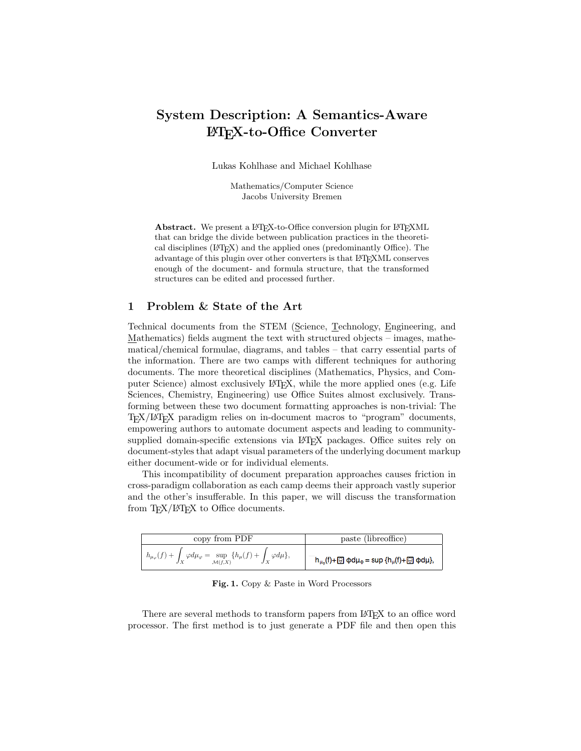# System Description: A Semantics-Aware L<sup>A</sup>TEX-to-Office Converter

Lukas Kohlhase and Michael Kohlhase

Mathematics/Computer Science Jacobs University Bremen

Abstract. We present a L<sup>AT</sup>EX-to-Office conversion plugin for L<sup>AT</sup>EXML that can bridge the divide between publication practices in the theoretical disciplines (LATEX) and the applied ones (predominantly Office). The advantage of this plugin over other converters is that LAT<sub>E</sub>XML conserves enough of the document- and formula structure, that the transformed structures can be edited and processed further.

## 1 Problem & State of the Art

Technical documents from the STEM (Science, Technology, Engineering, and  $Mathematics$ ) fields augment the text with structured objects – images, mathe-</u> matical/chemical formulae, diagrams, and tables – that carry essential parts of  $t_{\text{min}}$ ,  $t_{\text{min}}$ , and describe the associated to  $t_{\text{min}}$ ,  $t_{\text{min}}$ ,  $t_{\text{min}}$ ,  $t_{\text{min}}$ ,  $t_{\text{min}}$ ,  $t_{\text{min}}$ ,  $t_{\text{min}}$ ,  $t_{\text{min}}$ ,  $t_{\text{min}}$ ,  $t_{\text{min}}$ ,  $t_{\text{min}}$ ,  $t_{\text{min}}$ ,  $t_{\text{min}}$ ,  $t_{\text{min}}$ ,  $t_{\text{min}}$ ,  $t_{$ documents. The more theoretical disciplines (Mathematics, Physics, and Computer Science) almost exclusively  $\text{LATEX}$ , while the more applied ones (e.g. Life Sciences, Chemistry, Engineering) use Office Suites almost exclusively. Transforming between these two document formatting approaches is non-trivial: The TEX/LATEX paradigm relies on in-document macros to "program" documents, empowering authors to automate document aspects and leading to communitysupplied domain-specific extensions via LAT<sub>EX</sub> packages. Office suites rely on document-styles that adapt visual parameters of the underlying document markup either document-wide or for individual elements.

This incompatibility of document preparation approaches causes friction in cross-paradigm collaboration as each camp deems their approach vastly superior and the other's insufferable. In this paper, we will discuss the transformation from  $T_{E}X/IF_{E}X$  to Office documents.

| copy from PDF                                                                                                          | paste (libreoffice)                                                                                          |
|------------------------------------------------------------------------------------------------------------------------|--------------------------------------------------------------------------------------------------------------|
| $h_{\mu_{\varphi}}(f) + \int_X \varphi d\mu_{\varphi} = \sup_{\mathcal{M}(f,X)} \{h_{\mu}(f) + \int_X \varphi d\mu\},$ | $h_{\mu_\phi}(\mathfrak{f})+\text{gr}\varphi d\mu_\phi=\sup\;\{h_\mu(\mathfrak{f})+\text{gr}\varphi d\mu\},$ |

<span id="page-0-0"></span>Fig. 1. Copy  $\&$  Paste in Word Processors  $\overline{Q}$  and  $\overline{P}$ 

There are several methods to transform papers from LAT<sub>EX</sub> to an office word processor. The first method is to just generate a PDF file and then open this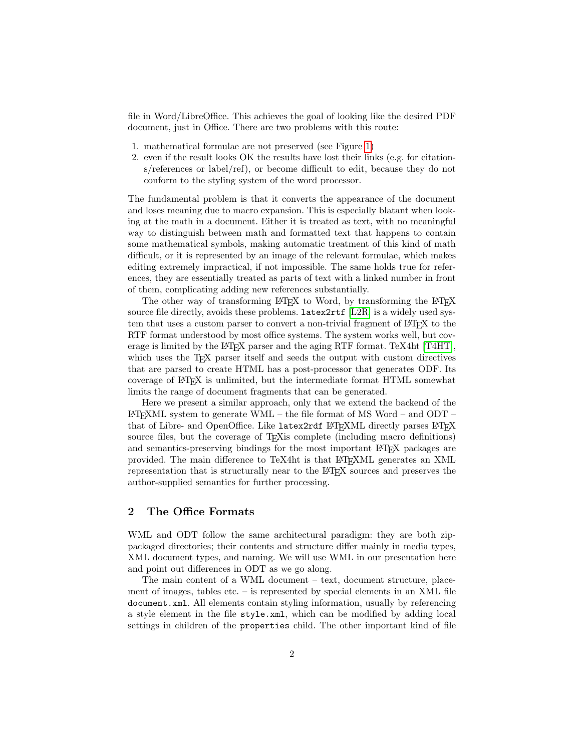file in Word/LibreOffice. This achieves the goal of looking like the desired PDF document, just in Office. There are two problems with this route:

- 1. mathematical formulae are not preserved (see Figure [1\)](#page-0-0)
- 2. even if the result looks OK the results have lost their links (e.g. for citations/references or label/ref), or become difficult to edit, because they do not conform to the styling system of the word processor.

The fundamental problem is that it converts the appearance of the document and loses meaning due to macro expansion. This is especially blatant when looking at the math in a document. Either it is treated as text, with no meaningful way to distinguish between math and formatted text that happens to contain some mathematical symbols, making automatic treatment of this kind of math difficult, or it is represented by an image of the relevant formulae, which makes editing extremely impractical, if not impossible. The same holds true for references, they are essentially treated as parts of text with a linked number in front of them, complicating adding new references substantially.

The other way of transforming LAT<sub>E</sub>X to Word, by transforming the LAT<sub>E</sub>X source file directly, avoids these problems. latex2rtf [\[L2R\]](#page-3-0) is a widely used system that uses a custom parser to convert a non-trivial fragment of L<sup>A</sup>TEX to the RTF format understood by most office systems. The system works well, but coverage is limited by the LAT<sub>EX</sub> parser and the aging RTF format. TeX4ht  $[T4HT]$ , which uses the T<sub>EX</sub> parser itself and seeds the output with custom directives that are parsed to create HTML has a post-processor that generates ODF. Its coverage of L<sup>A</sup>TEX is unlimited, but the intermediate format HTML somewhat limits the range of document fragments that can be generated.

Here we present a similar approach, only that we extend the backend of the LATEXML system to generate WML – the file format of MS Word – and ODT – that of Libre- and OpenOffice. Like latex2rdf L<sup>AT</sup>FXML directly parses LATFX source files, but the coverage of T<sub>E</sub>Xis complete (including macro definitions) and semantics-preserving bindings for the most important L<sup>A</sup>TEX packages are provided. The main difference to TeX4ht is that L<sup>A</sup>TEXML generates an XML representation that is structurally near to the L<sup>A</sup>TEX sources and preserves the author-supplied semantics for further processing.

### 2 The Office Formats

WML and ODT follow the same architectural paradigm: they are both zippackaged directories; their contents and structure differ mainly in media types, XML document types, and naming. We will use WML in our presentation here and point out differences in ODT as we go along.

The main content of a WML document – text, document structure, placement of images, tables etc. – is represented by special elements in an XML file document.xml. All elements contain styling information, usually by referencing a style element in the file style.xml, which can be modified by adding local settings in children of the properties child. The other important kind of file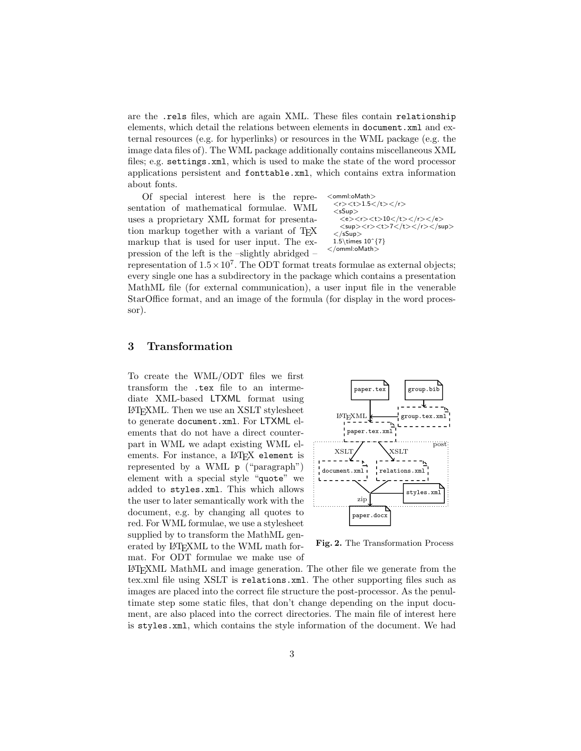are the .rels files, which are again XML. These files contain relationship elements, which detail the relations between elements in document.xml and external resources (e.g. for hyperlinks) or resources in the WML package (e.g. the image data files of). The WML package additionally contains miscellaneous XML files; e.g. settings.xml, which is used to make the state of the word processor applications persistent and fonttable.xml, which contains extra information about fonts.

Of special interest here is the representation of mathematical formulae. WML uses a proprietary XML format for presentation markup together with a variant of T<sub>E</sub>X markup that is used for user input. The expression of the left is the –slightly abridged –

<omml:oMath> <r><t>1.5</t></r> <sSup> <e><r><t>10</t></r></e> <sup><r><t>7</t></r></sup> </sSup> 1.5\times 10ˆ{7} </omml:oMath>

representation of  $1.5 \times 10^7$ . The ODT format treats formulae as external objects; every single one has a subdirectory in the package which contains a presentation MathML file (for external communication), a user input file in the venerable StarOffice format, and an image of the formula (for display in the word processor).

### 3 Transformation

To create the WML/ODT files we first transform the .tex file to an intermediate XML-based LTXML format using L<sup>A</sup>TEXML. Then we use an XSLT stylesheet to generate document.xml. For LTXML elements that do not have a direct counterpart in WML we adapt existing WML elements. For instance, a L<sup>AT</sup>FX element is represented by a WML p ("paragraph") element with a special style "quote" we added to styles.xml. This which allows the user to later semantically work with the document, e.g. by changing all quotes to red. For WML formulae, we use a stylesheet supplied by to transform the MathML generated by L<sup>AT</sup>FXML to the WML math format. For ODT formulae we make use of



Fig. 2. The Transformation Process

L<sup>A</sup>TEXML MathML and image generation. The other file we generate from the tex.xml file using XSLT is relations.xml. The other supporting files such as images are placed into the correct file structure the post-processor. As the penultimate step some static files, that don't change depending on the input document, are also placed into the correct directories. The main file of interest here is styles.xml, which contains the style information of the document. We had